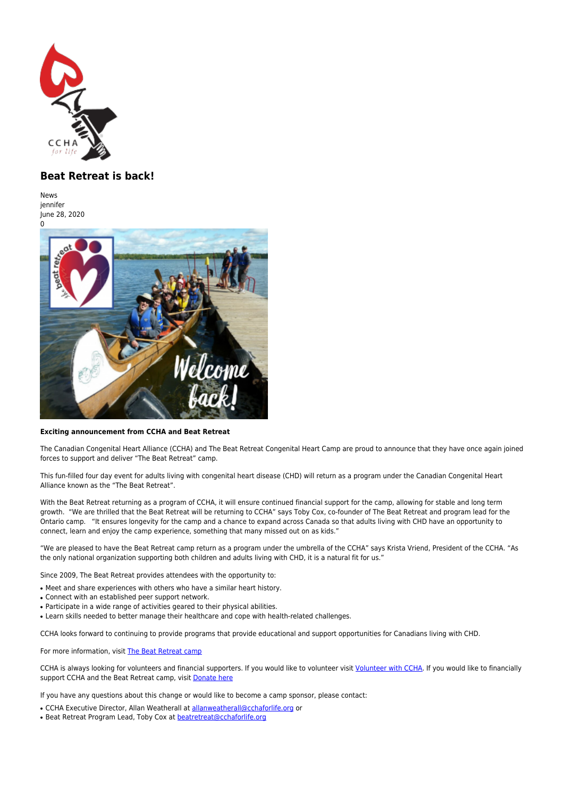

## **Beat Retreat is back!**

**News** iennifer June 28, 2020



## **Exciting announcement from CCHA and Beat Retreat**

The Canadian Congenital Heart Alliance (CCHA) and The Beat Retreat Congenital Heart Camp are proud to announce that they have once again joined forces to support and deliver "The Beat Retreat" camp.

This fun-filled four day event for adults living with congenital heart disease (CHD) will return as a program under the Canadian Congenital Heart Alliance known as the "The Beat Retreat".

With the Beat Retreat returning as a program of CCHA, it will ensure continued financial support for the camp, allowing for stable and long term growth. "We are thrilled that the Beat Retreat will be returning to CCHA" says Toby Cox, co-founder of The Beat Retreat and program lead for the Ontario camp. "It ensures longevity for the camp and a chance to expand across Canada so that adults living with CHD have an opportunity to connect, learn and enjoy the camp experience, something that many missed out on as kids."

"We are pleased to have the Beat Retreat camp return as a program under the umbrella of the CCHA" says Krista Vriend, President of the CCHA. "As the only national organization supporting both children and adults living with CHD, it is a natural fit for us."

Since 2009, The Beat Retreat provides attendees with the opportunity to:

- Meet and share experiences with others who have a similar heart history.
- Connect with an established peer support network.
- Participate in a wide range of activities geared to their physical abilities.
- Learn skills needed to better manage their healthcare and cope with health-related challenges.

CCHA looks forward to continuing to provide programs that provide educational and support opportunities for Canadians living with CHD.

For more information, visit [The Beat Retreat camp](https://www.cchaforlife.org/events/retreats/beat-retreat-camp)

CCHA is always looking for volunteers and financial supporters. If you would like to volunteer visit [Volunteer with CCHA.](https://www.cchaforlife.org/webforms/volunteer-registration-ccha) If you would like to financially support CCHA and the Beat Retreat camp, visit [Donate here](https://www.canadahelps.org/en/dn/929)

If you have any questions about this change or would like to become a camp sponsor, please contact:

- CCHA Executive Director, Allan Weatherall at [allanweatherall@cchaforlife.org](http://ww.cchaforlife.org/news/mailto:allanweatherall@cchaforlife.org) or
- Beat Retreat Program Lead, Toby Cox at [beatretreat@cchaforlife.org](http://ww.cchaforlife.org/news/mailto:beatretreat@cchaforlife.org)